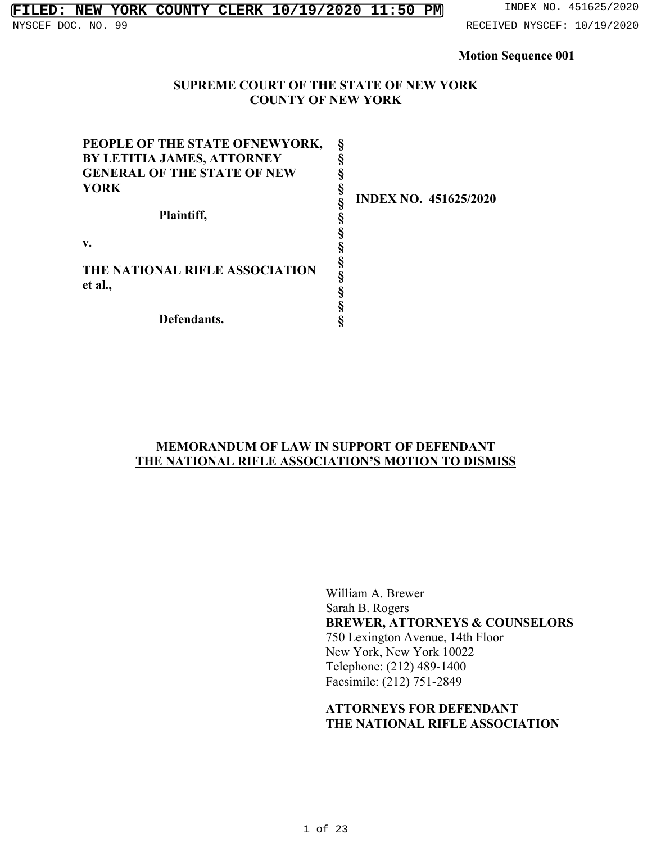#### **FILED: NEW YORK COUNTY CLERK 10/19/2020 11:50 PM** INDEX NO. 451625/2020 NYSCEF DOC. NO. 99 **RECEIVED NYSCEF: 10/19/2020**

#### **Motion Sequence 001**

#### **SUPREME COURT OF THE STATE OF NEW YORK COUNTY OF NEW YORK**

| PEOPLE OF THE STATE OFNEWYORK,     |        |  |
|------------------------------------|--------|--|
| BY LETITIA JAMES, ATTORNEY         |        |  |
| <b>GENERAL OF THE STATE OF NEW</b> |        |  |
| <b>YORK</b>                        | ş      |  |
|                                    |        |  |
| Plaintiff,                         |        |  |
|                                    |        |  |
| v.                                 | §      |  |
|                                    |        |  |
| THE NATIONAL RIFLE ASSOCIATION     | §<br>§ |  |
| et al.,                            |        |  |
|                                    |        |  |
| Defendants.                        |        |  |

**INDEX NO. 451625/2020** 

## **MEMORANDUM OF LAW IN SUPPORT OF DEFENDANT THE NATIONAL RIFLE ASSOCIATION'S MOTION TO DISMISS**

William A. Brewer Sarah B. Rogers **BREWER, ATTORNEYS & COUNSELORS** 750 Lexington Avenue, 14th Floor New York, New York 10022 Telephone: (212) 489-1400 Facsimile: (212) 751-2849

# **ATTORNEYS FOR DEFENDANT THE NATIONAL RIFLE ASSOCIATION**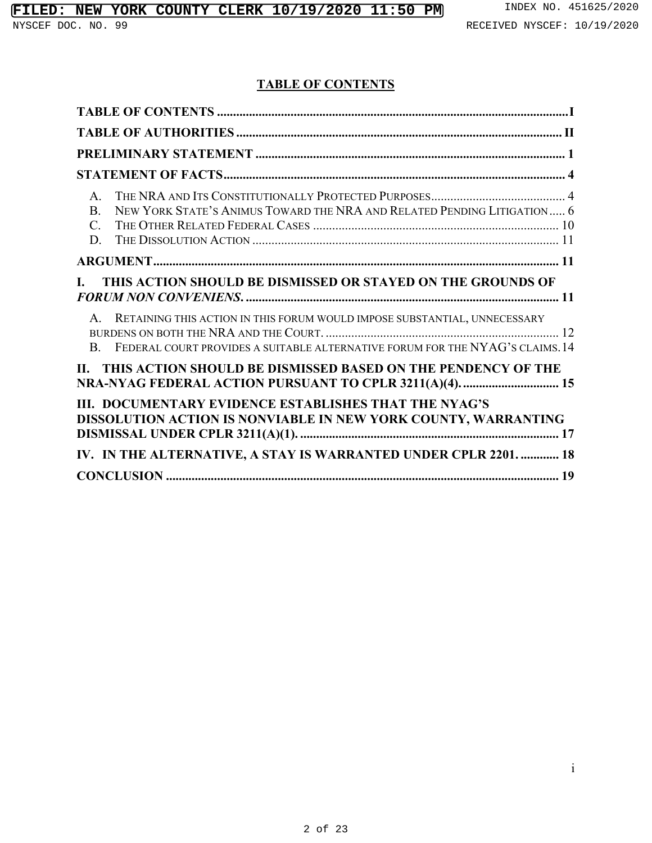# **TABLE OF CONTENTS**

| $\mathsf{A}$<br>NEW YORK STATE'S ANIMUS TOWARD THE NRA AND RELATED PENDING LITIGATION 6<br><sub>B</sub><br>$C_{\cdot}$<br>D.                                                  |
|-------------------------------------------------------------------------------------------------------------------------------------------------------------------------------|
|                                                                                                                                                                               |
| THIS ACTION SHOULD BE DISMISSED OR STAYED ON THE GROUNDS OF<br>$\mathbf{L}$                                                                                                   |
| A. RETAINING THIS ACTION IN THIS FORUM WOULD IMPOSE SUBSTANTIAL, UNNECESSARY<br>FEDERAL COURT PROVIDES A SUITABLE ALTERNATIVE FORUM FOR THE NYAG'S CLAIMS. 14<br>$\mathbf{B}$ |
| II. THIS ACTION SHOULD BE DISMISSED BASED ON THE PENDENCY OF THE                                                                                                              |
| III. DOCUMENTARY EVIDENCE ESTABLISHES THAT THE NYAG'S<br>DISSOLUTION ACTION IS NONVIABLE IN NEW YORK COUNTY, WARRANTING                                                       |
| IV. IN THE ALTERNATIVE, A STAY IS WARRANTED UNDER CPLR 2201.  18                                                                                                              |
|                                                                                                                                                                               |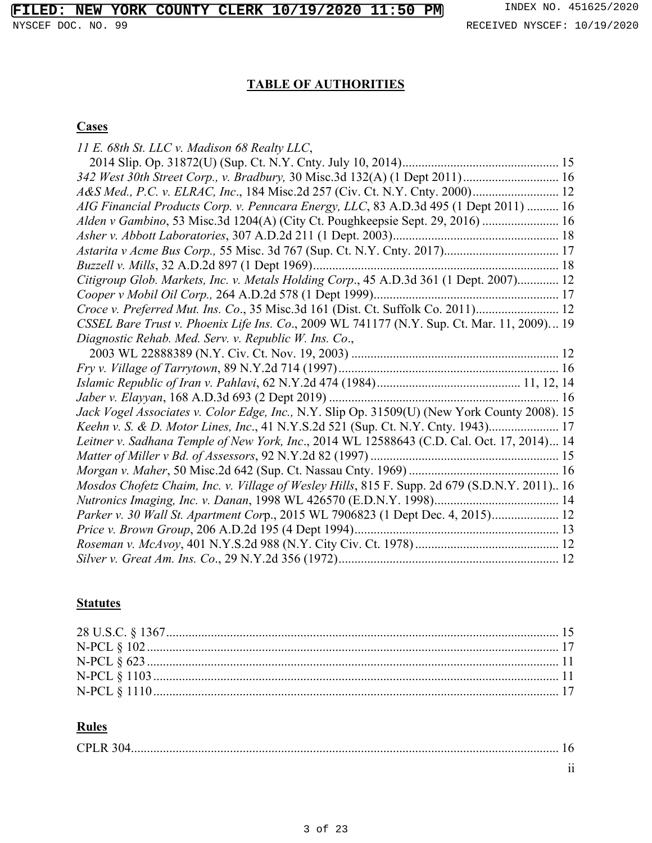# **FILED: NEW YORK COUNTY CLERK 10/19/2020 11:50 PM** INDEX NO. 451625/2020

# **TABLE OF AUTHORITIES**

# **Cases**

| 11 E. 68th St. LLC v. Madison 68 Realty LLC,                                                  |  |
|-----------------------------------------------------------------------------------------------|--|
|                                                                                               |  |
| 342 West 30th Street Corp., v. Bradbury, 30 Misc.3d 132(A) (1 Dept 2011) 16                   |  |
| A&S Med., P.C. v. ELRAC, Inc., 184 Misc.2d 257 (Civ. Ct. N.Y. Cnty. 2000) 12                  |  |
| AIG Financial Products Corp. v. Penncara Energy, LLC, 83 A.D.3d 495 (1 Dept 2011)  16         |  |
| Alden v Gambino, 53 Misc.3d 1204(A) (City Ct. Poughkeepsie Sept. 29, 2016)  16                |  |
|                                                                                               |  |
|                                                                                               |  |
|                                                                                               |  |
| Citigroup Glob. Markets, Inc. v. Metals Holding Corp., 45 A.D.3d 361 (1 Dept. 2007) 12        |  |
|                                                                                               |  |
| Croce v. Preferred Mut. Ins. Co., 35 Misc.3d 161 (Dist. Ct. Suffolk Co. 2011) 12              |  |
| CSSEL Bare Trust v. Phoenix Life Ins. Co., 2009 WL 741177 (N.Y. Sup. Ct. Mar. 11, 2009) 19    |  |
| Diagnostic Rehab. Med. Serv. v. Republic W. Ins. Co.,                                         |  |
|                                                                                               |  |
|                                                                                               |  |
|                                                                                               |  |
|                                                                                               |  |
| Jack Vogel Associates v. Color Edge, Inc., N.Y. Slip Op. 31509(U) (New York County 2008). 15  |  |
| Keehn v. S. & D. Motor Lines, Inc., 41 N.Y.S.2d 521 (Sup. Ct. N.Y. Cnty. 1943) 17             |  |
| Leitner v. Sadhana Temple of New York, Inc., 2014 WL 12588643 (C.D. Cal. Oct. 17, 2014) 14    |  |
|                                                                                               |  |
|                                                                                               |  |
| Mosdos Chofetz Chaim, Inc. v. Village of Wesley Hills, 815 F. Supp. 2d 679 (S.D.N.Y. 2011) 16 |  |
|                                                                                               |  |
| Parker v. 30 Wall St. Apartment Corp., 2015 WL 7906823 (1 Dept Dec. 4, 2015) 12               |  |
|                                                                                               |  |
|                                                                                               |  |
|                                                                                               |  |

# **Statutes**

# **Rules**

| LU') |                 |
|------|-----------------|
|      | $\cdot$ $\cdot$ |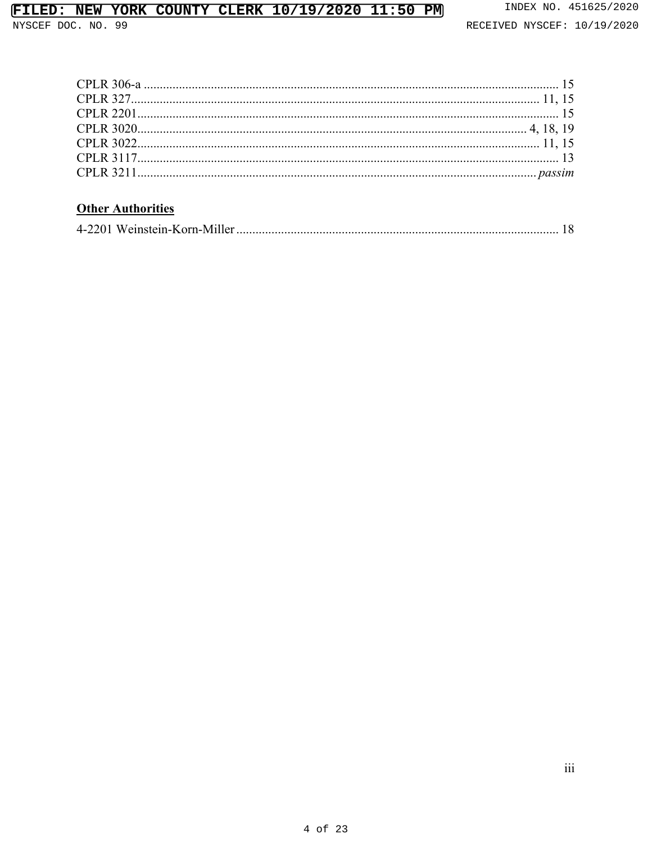# FILED: NEW YORK COUNTY CLERK 10/19/2020 11:50 PM

NYSCEF DOC. NO. 99

# **Other Authorities**

|--|--|--|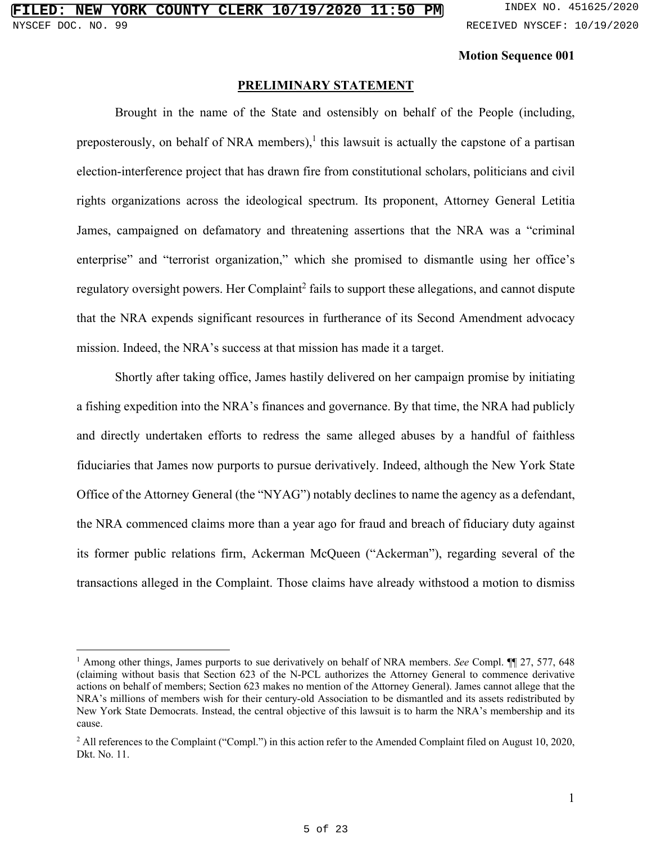#### **Motion Sequence 001**

#### **PRELIMINARY STATEMENT**

Brought in the name of the State and ostensibly on behalf of the People (including, preposterously, on behalf of NRA members),<sup>1</sup> this lawsuit is actually the capstone of a partisan election-interference project that has drawn fire from constitutional scholars, politicians and civil rights organizations across the ideological spectrum. Its proponent, Attorney General Letitia James, campaigned on defamatory and threatening assertions that the NRA was a "criminal enterprise" and "terrorist organization," which she promised to dismantle using her office's regulatory oversight powers. Her Complaint<sup>2</sup> fails to support these allegations, and cannot dispute that the NRA expends significant resources in furtherance of its Second Amendment advocacy mission. Indeed, the NRA's success at that mission has made it a target.

Shortly after taking office, James hastily delivered on her campaign promise by initiating a fishing expedition into the NRA's finances and governance. By that time, the NRA had publicly and directly undertaken efforts to redress the same alleged abuses by a handful of faithless fiduciaries that James now purports to pursue derivatively. Indeed, although the New York State Office of the Attorney General (the "NYAG") notably declines to name the agency as a defendant, the NRA commenced claims more than a year ago for fraud and breach of fiduciary duty against its former public relations firm, Ackerman McQueen ("Ackerman"), regarding several of the transactions alleged in the Complaint. Those claims have already withstood a motion to dismiss

<sup>&</sup>lt;sup>1</sup> Among other things, James purports to sue derivatively on behalf of NRA members. *See* Compl. **[1**] 27, 577, 648 (claiming without basis that Section 623 of the N-PCL authorizes the Attorney General to commence derivative actions on behalf of members; Section 623 makes no mention of the Attorney General). James cannot allege that the NRA's millions of members wish for their century-old Association to be dismantled and its assets redistributed by New York State Democrats. Instead, the central objective of this lawsuit is to harm the NRA's membership and its cause.

 $2$  All references to the Complaint ("Compl.") in this action refer to the Amended Complaint filed on August 10, 2020, Dkt. No. 11.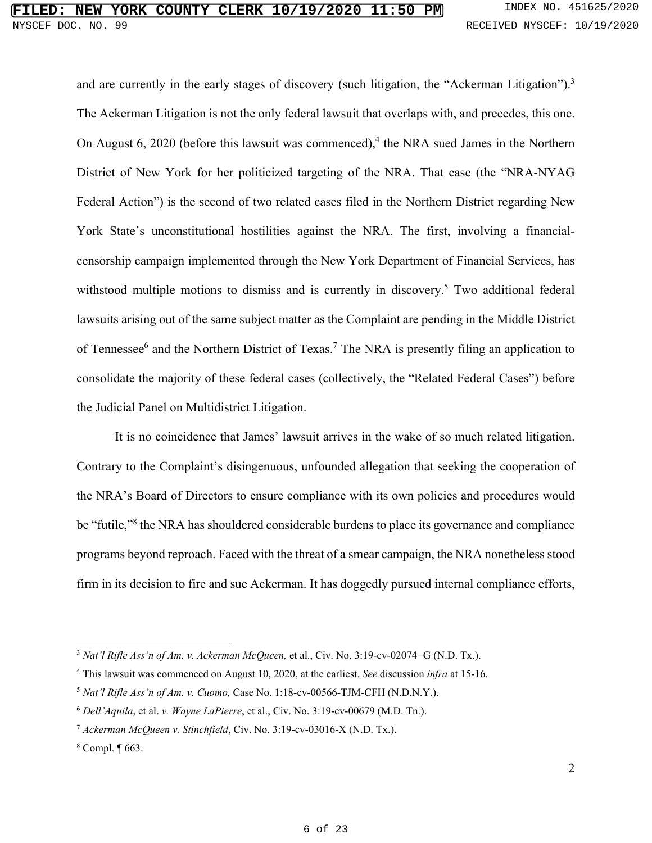and are currently in the early stages of discovery (such litigation, the "Ackerman Litigation").<sup>3</sup> The Ackerman Litigation is not the only federal lawsuit that overlaps with, and precedes, this one. On August  $6$ , 2020 (before this lawsuit was commenced),<sup>4</sup> the NRA sued James in the Northern District of New York for her politicized targeting of the NRA. That case (the "NRA-NYAG Federal Action") is the second of two related cases filed in the Northern District regarding New York State's unconstitutional hostilities against the NRA. The first, involving a financialcensorship campaign implemented through the New York Department of Financial Services, has withstood multiple motions to dismiss and is currently in discovery.<sup>5</sup> Two additional federal lawsuits arising out of the same subject matter as the Complaint are pending in the Middle District of Tennessee<sup>6</sup> and the Northern District of Texas.<sup>7</sup> The NRA is presently filing an application to consolidate the majority of these federal cases (collectively, the "Related Federal Cases") before the Judicial Panel on Multidistrict Litigation.

It is no coincidence that James' lawsuit arrives in the wake of so much related litigation. Contrary to the Complaint's disingenuous, unfounded allegation that seeking the cooperation of the NRA's Board of Directors to ensure compliance with its own policies and procedures would be "futile,"<sup>8</sup> the NRA has shouldered considerable burdens to place its governance and compliance programs beyond reproach. Faced with the threat of a smear campaign, the NRA nonetheless stood firm in its decision to fire and sue Ackerman. It has doggedly pursued internal compliance efforts,

<sup>3</sup> *Nat'l Rifle Ass'n of Am. v. Ackerman McQueen,* et al., Civ. No. 3:19-cv-02074−G (N.D. Tx.).

<sup>4</sup> This lawsuit was commenced on August 10, 2020, at the earliest. *See* discussion *infra* at 15-16.

<sup>5</sup> *Nat'l Rifle Ass'n of Am. v. Cuomo,* Case No. 1:18-cv-00566-TJM-CFH (N.D.N.Y.).

<sup>6</sup> *Dell'Aquila*, et al. *v. Wayne LaPierre*, et al., Civ. No. 3:19-cv-00679 (M.D. Tn.).

<sup>7</sup> *Ackerman McQueen v. Stinchfield*, Civ. No. 3:19-cv-03016-X (N.D. Tx.).

<sup>8</sup> Compl. ¶ 663.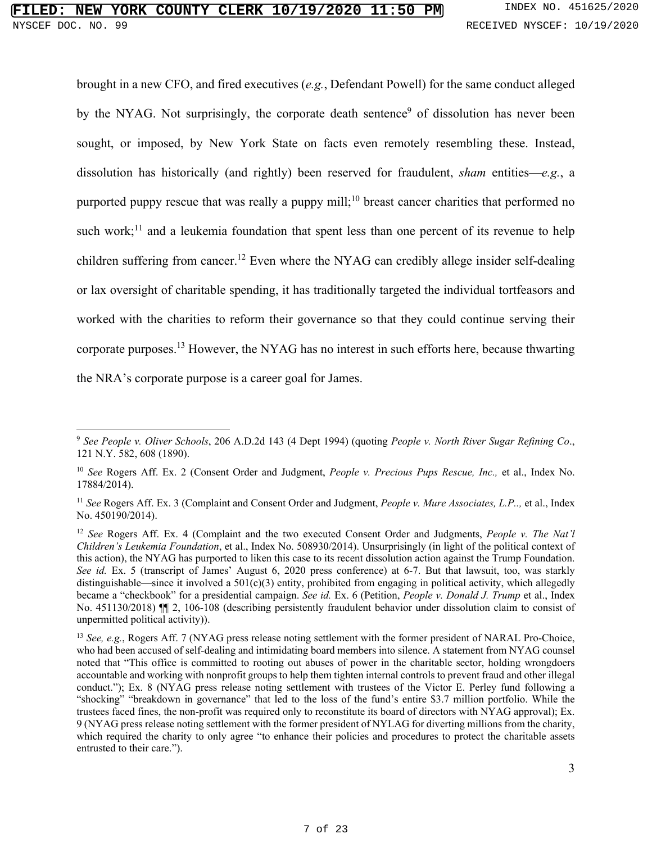brought in a new CFO, and fired executives (*e.g.*, Defendant Powell) for the same conduct alleged by the NYAG. Not surprisingly, the corporate death sentence<sup>9</sup> of dissolution has never been sought, or imposed, by New York State on facts even remotely resembling these. Instead, dissolution has historically (and rightly) been reserved for fraudulent, *sham* entities—*e.g.*, a purported puppy rescue that was really a puppy mill;<sup>10</sup> breast cancer charities that performed no such work;<sup>11</sup> and a leukemia foundation that spent less than one percent of its revenue to help children suffering from cancer.<sup>12</sup> Even where the NYAG can credibly allege insider self-dealing or lax oversight of charitable spending, it has traditionally targeted the individual tortfeasors and worked with the charities to reform their governance so that they could continue serving their corporate purposes.<sup>13</sup> However, the NYAG has no interest in such efforts here, because thwarting the NRA's corporate purpose is a career goal for James.

<sup>9</sup> *See People v. Oliver Schools*, 206 A.D.2d 143 (4 Dept 1994) (quoting *People v. North River Sugar Refining Co*., 121 N.Y. 582, 608 (1890).

<sup>10</sup> *See* Rogers Aff. Ex. 2 (Consent Order and Judgment, *People v. Precious Pups Rescue, Inc.,* et al., Index No. 17884/2014).

<sup>11</sup> *See* Rogers Aff. Ex. 3 (Complaint and Consent Order and Judgment, *People v. Mure Associates, L.P..,* et al., Index No. 450190/2014).

<sup>12</sup> *See* Rogers Aff. Ex. 4 (Complaint and the two executed Consent Order and Judgments, *People v. The Nat'l Children's Leukemia Foundation*, et al., Index No. 508930/2014). Unsurprisingly (in light of the political context of this action), the NYAG has purported to liken this case to its recent dissolution action against the Trump Foundation. *See id.* Ex. 5 (transcript of James' August 6, 2020 press conference) at 6-7. But that lawsuit, too, was starkly distinguishable—since it involved a  $501(c)(3)$  entity, prohibited from engaging in political activity, which allegedly became a "checkbook" for a presidential campaign. *See id.* Ex. 6 (Petition, *People v. Donald J. Trump* et al., Index No. 451130/2018)  $\P$  2, 106-108 (describing persistently fraudulent behavior under dissolution claim to consist of unpermitted political activity)).

<sup>&</sup>lt;sup>13</sup> *See, e.g.*, Rogers Aff. 7 (NYAG press release noting settlement with the former president of NARAL Pro-Choice, who had been accused of self-dealing and intimidating board members into silence. A statement from NYAG counsel noted that "This office is committed to rooting out abuses of power in the charitable sector, holding wrongdoers accountable and working with nonprofit groups to help them tighten internal controls to prevent fraud and other illegal conduct."); Ex. 8 (NYAG press release noting settlement with trustees of the Victor E. Perley fund following a "shocking" "breakdown in governance" that led to the loss of the fund's entire \$3.7 million portfolio. While the trustees faced fines, the non-profit was required only to reconstitute its board of directors with NYAG approval); Ex. 9 (NYAG press release noting settlement with the former president of NYLAG for diverting millions from the charity, which required the charity to only agree "to enhance their policies and procedures to protect the charitable assets entrusted to their care.").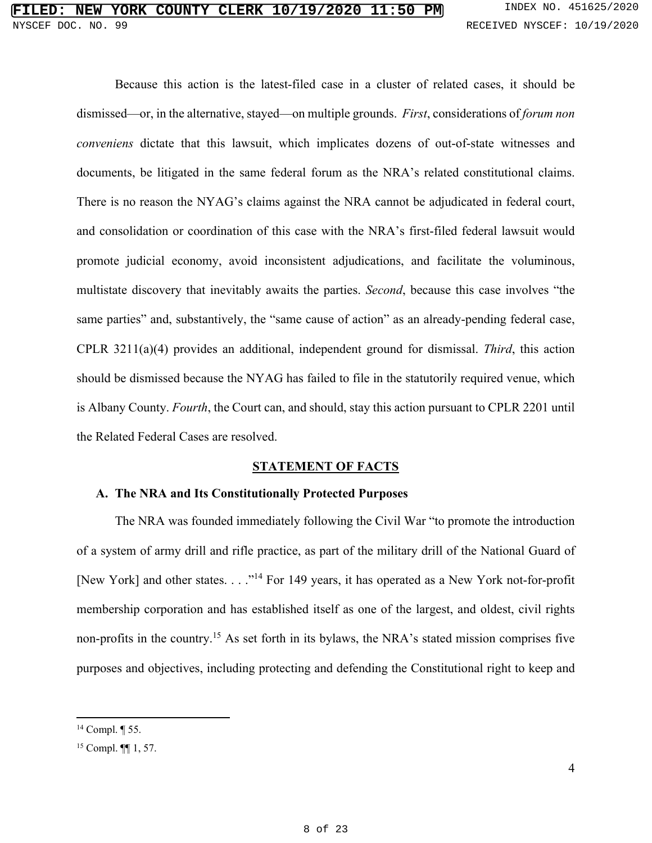Because this action is the latest-filed case in a cluster of related cases, it should be dismissed—or, in the alternative, stayed—on multiple grounds. *First*, considerations of *forum non conveniens* dictate that this lawsuit, which implicates dozens of out-of-state witnesses and documents, be litigated in the same federal forum as the NRA's related constitutional claims. There is no reason the NYAG's claims against the NRA cannot be adjudicated in federal court, and consolidation or coordination of this case with the NRA's first-filed federal lawsuit would promote judicial economy, avoid inconsistent adjudications, and facilitate the voluminous, multistate discovery that inevitably awaits the parties. *Second*, because this case involves "the same parties" and, substantively, the "same cause of action" as an already-pending federal case, CPLR 3211(a)(4) provides an additional, independent ground for dismissal. *Third*, this action should be dismissed because the NYAG has failed to file in the statutorily required venue, which is Albany County. *Fourth*, the Court can, and should, stay this action pursuant to CPLR 2201 until the Related Federal Cases are resolved.

#### **STATEMENT OF FACTS**

#### **A. The NRA and Its Constitutionally Protected Purposes**

The NRA was founded immediately following the Civil War "to promote the introduction of a system of army drill and rifle practice, as part of the military drill of the National Guard of [New York] and other states. . . . "<sup>14</sup> For 149 years, it has operated as a New York not-for-profit membership corporation and has established itself as one of the largest, and oldest, civil rights non-profits in the country.<sup>15</sup> As set forth in its bylaws, the NRA's stated mission comprises five purposes and objectives, including protecting and defending the Constitutional right to keep and

<sup>14</sup> Compl. ¶ 55.

<sup>15</sup> Compl. ¶¶ 1, 57.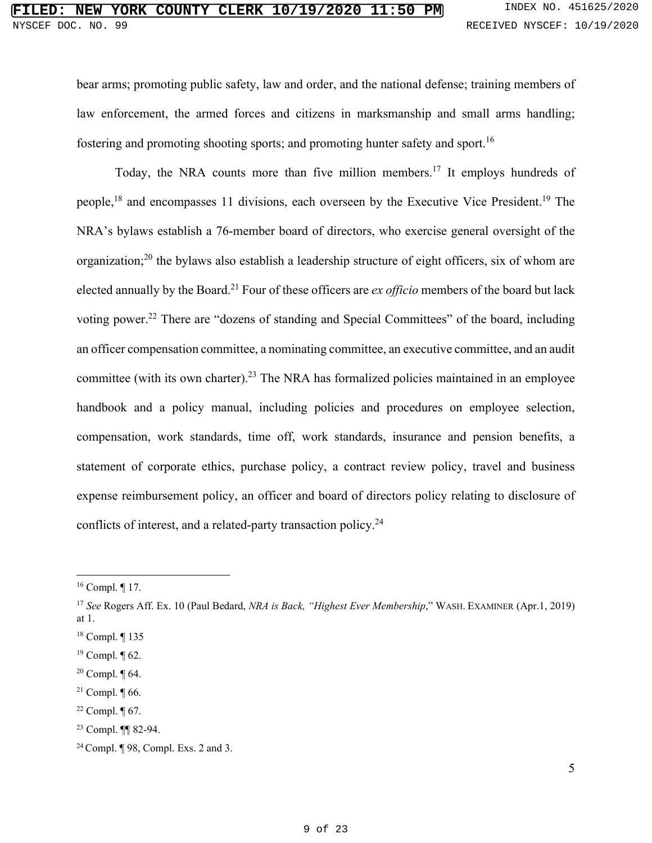bear arms; promoting public safety, law and order, and the national defense; training members of law enforcement, the armed forces and citizens in marksmanship and small arms handling; fostering and promoting shooting sports; and promoting hunter safety and sport.<sup>16</sup>

Today, the NRA counts more than five million members.<sup>17</sup> It employs hundreds of people,<sup>18</sup> and encompasses 11 divisions, each overseen by the Executive Vice President.<sup>19</sup> The NRA's bylaws establish a 76-member board of directors, who exercise general oversight of the organization;<sup>20</sup> the bylaws also establish a leadership structure of eight officers, six of whom are elected annually by the Board.<sup>21</sup> Four of these officers are *ex officio* members of the board but lack voting power.<sup>22</sup> There are "dozens of standing and Special Committees" of the board, including an officer compensation committee, a nominating committee, an executive committee, and an audit committee (with its own charter).<sup>23</sup> The NRA has formalized policies maintained in an employee handbook and a policy manual, including policies and procedures on employee selection, compensation, work standards, time off, work standards, insurance and pension benefits, a statement of corporate ethics, purchase policy, a contract review policy, travel and business expense reimbursement policy, an officer and board of directors policy relating to disclosure of conflicts of interest, and a related-party transaction policy.<sup>24</sup>

<sup>16</sup> Compl. ¶ 17.

<sup>17</sup> *See* Rogers Aff. Ex. 10 (Paul Bedard, *NRA is Back, "Highest Ever Membership*," WASH. EXAMINER (Apr.1, 2019) at 1.

<sup>18</sup> Compl. ¶ 135

 $19$  Compl.  $\P$  62.

 $20$  Compl.  $\P$  64.

<sup>&</sup>lt;sup>21</sup> Compl.  $\P$  66.

 $22$  Compl.  $\P$  67.

<sup>23</sup> Compl. ¶¶ 82-94.

<sup>24</sup>Compl. ¶ 98, Compl. Exs. 2 and 3.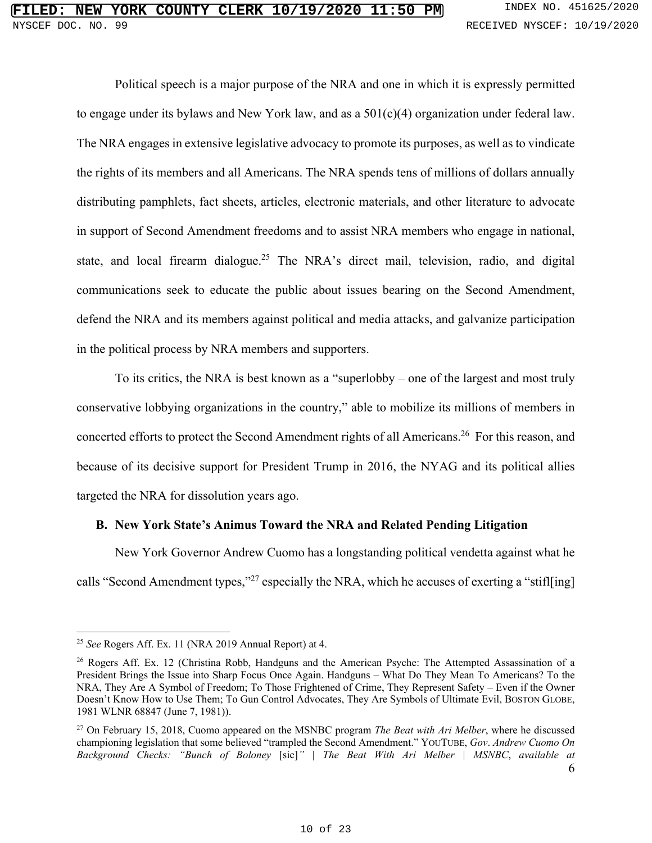Political speech is a major purpose of the NRA and one in which it is expressly permitted to engage under its bylaws and New York law, and as a 501(c)(4) organization under federal law. The NRA engages in extensive legislative advocacy to promote its purposes, as well as to vindicate the rights of its members and all Americans. The NRA spends tens of millions of dollars annually distributing pamphlets, fact sheets, articles, electronic materials, and other literature to advocate in support of Second Amendment freedoms and to assist NRA members who engage in national, state, and local firearm dialogue.<sup>25</sup> The NRA's direct mail, television, radio, and digital communications seek to educate the public about issues bearing on the Second Amendment, defend the NRA and its members against political and media attacks, and galvanize participation in the political process by NRA members and supporters.

To its critics, the NRA is best known as a "superlobby – one of the largest and most truly conservative lobbying organizations in the country," able to mobilize its millions of members in concerted efforts to protect the Second Amendment rights of all Americans.<sup>26</sup> For this reason, and because of its decisive support for President Trump in 2016, the NYAG and its political allies targeted the NRA for dissolution years ago.

#### **B. New York State's Animus Toward the NRA and Related Pending Litigation**

New York Governor Andrew Cuomo has a longstanding political vendetta against what he calls "Second Amendment types,"<sup>27</sup> especially the NRA, which he accuses of exerting a "stifl[ing]

<sup>25</sup> *See* Rogers Aff. Ex. 11 (NRA 2019 Annual Report) at 4.

<sup>26</sup> Rogers Aff. Ex. 12 (Christina Robb, Handguns and the American Psyche: The Attempted Assassination of a President Brings the Issue into Sharp Focus Once Again. Handguns – What Do They Mean To Americans? To the NRA, They Are A Symbol of Freedom; To Those Frightened of Crime, They Represent Safety – Even if the Owner Doesn't Know How to Use Them; To Gun Control Advocates, They Are Symbols of Ultimate Evil, BOSTON GLOBE, 1981 WLNR 68847 (June 7, 1981)).

<sup>27</sup> On February 15, 2018, Cuomo appeared on the MSNBC program *The Beat with Ari Melber*, where he discussed championing legislation that some believed "trampled the Second Amendment." YOUTUBE, *Gov*. *Andrew Cuomo On Background Checks: "Bunch of Boloney* [sic]*" | The Beat With Ari Melber | MSNBC*, *available at*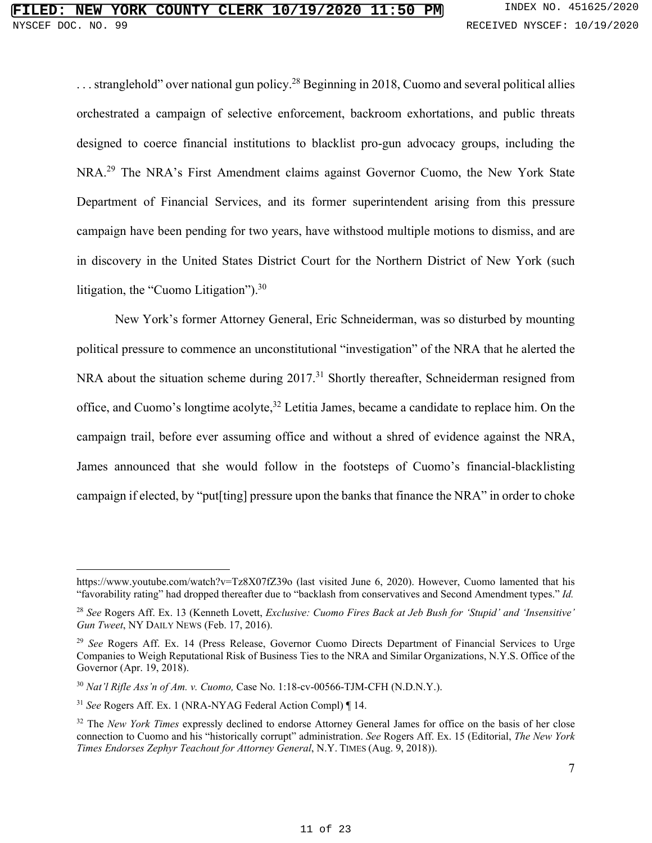... stranglehold" over national gun policy.<sup>28</sup> Beginning in 2018, Cuomo and several political allies orchestrated a campaign of selective enforcement, backroom exhortations, and public threats designed to coerce financial institutions to blacklist pro-gun advocacy groups, including the NRA.<sup>29</sup> The NRA's First Amendment claims against Governor Cuomo, the New York State Department of Financial Services, and its former superintendent arising from this pressure campaign have been pending for two years, have withstood multiple motions to dismiss, and are in discovery in the United States District Court for the Northern District of New York (such litigation, the "Cuomo Litigation").<sup>30</sup>

New York's former Attorney General, Eric Schneiderman, was so disturbed by mounting political pressure to commence an unconstitutional "investigation" of the NRA that he alerted the NRA about the situation scheme during 2017.<sup>31</sup> Shortly thereafter, Schneiderman resigned from office, and Cuomo's longtime acolyte,<sup>32</sup> Letitia James, became a candidate to replace him. On the campaign trail, before ever assuming office and without a shred of evidence against the NRA, James announced that she would follow in the footsteps of Cuomo's financial-blacklisting campaign if elected, by "put[ting] pressure upon the banks that finance the NRA" in order to choke

https://www.youtube.com/watch?v=Tz8X07fZ39o (last visited June 6, 2020). However, Cuomo lamented that his "favorability rating" had dropped thereafter due to "backlash from conservatives and Second Amendment types." *Id.*

<sup>28</sup> *See* Rogers Aff. Ex. 13 (Kenneth Lovett, *Exclusive: Cuomo Fires Back at Jeb Bush for 'Stupid' and 'Insensitive' Gun Tweet*, NY DAILY NEWS (Feb. 17, 2016).

<sup>29</sup> *See* Rogers Aff. Ex. 14 (Press Release, Governor Cuomo Directs Department of Financial Services to Urge Companies to Weigh Reputational Risk of Business Ties to the NRA and Similar Organizations, N.Y.S. Office of the Governor (Apr. 19, 2018).

<sup>30</sup> *Nat'l Rifle Ass'n of Am. v. Cuomo,* Case No. 1:18-cv-00566-TJM-CFH (N.D.N.Y.).

<sup>31</sup> *See* Rogers Aff. Ex. 1 (NRA-NYAG Federal Action Compl) ¶ 14.

<sup>&</sup>lt;sup>32</sup> The *New York Times* expressly declined to endorse Attorney General James for office on the basis of her close connection to Cuomo and his "historically corrupt" administration. *See* Rogers Aff. Ex. 15 (Editorial, *The New York Times Endorses Zephyr Teachout for Attorney General*, N.Y. TIMES (Aug. 9, 2018)).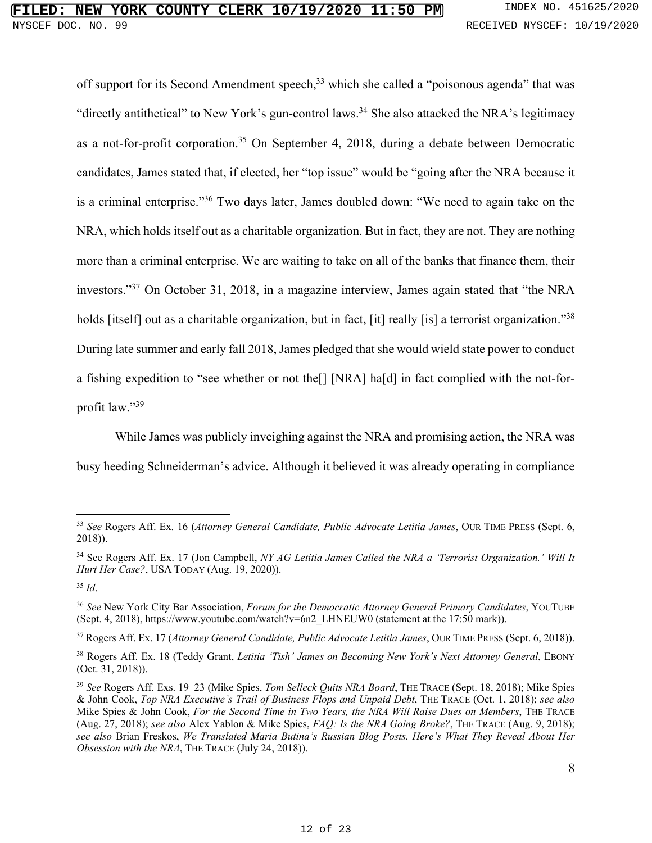off support for its Second Amendment speech,<sup>33</sup> which she called a "poisonous agenda" that was "directly antithetical" to New York's gun-control laws.<sup>34</sup> She also attacked the NRA's legitimacy as a not-for-profit corporation.<sup>35</sup> On September 4, 2018, during a debate between Democratic candidates, James stated that, if elected, her "top issue" would be "going after the NRA because it is a criminal enterprise."<sup>36</sup> Two days later, James doubled down: "We need to again take on the NRA, which holds itself out as a charitable organization. But in fact, they are not. They are nothing more than a criminal enterprise. We are waiting to take on all of the banks that finance them, their investors."<sup>37</sup> On October 31, 2018, in a magazine interview, James again stated that "the NRA holds [itself] out as a charitable organization, but in fact, [it] really [is] a terrorist organization."<sup>38</sup> During late summer and early fall 2018, James pledged that she would wield state power to conduct a fishing expedition to "see whether or not the[] [NRA] ha[d] in fact complied with the not-forprofit law."<sup>39</sup>

While James was publicly inveighing against the NRA and promising action, the NRA was busy heeding Schneiderman's advice. Although it believed it was already operating in compliance

<sup>33</sup> *See* Rogers Aff. Ex. 16 (*Attorney General Candidate, Public Advocate Letitia James*, OUR TIME PRESS (Sept. 6, 2018)).

<sup>34</sup> See Rogers Aff. Ex. 17 (Jon Campbell, *NY AG Letitia James Called the NRA a 'Terrorist Organization.' Will It Hurt Her Case?*, USA TODAY (Aug. 19, 2020)).

<sup>35</sup> *Id*.

<sup>36</sup> *See* New York City Bar Association, *Forum for the Democratic Attorney General Primary Candidates*, YOUTUBE (Sept. 4, 2018), https://www.youtube.com/watch?v=6n2\_LHNEUW0 (statement at the 17:50 mark)).

<sup>37</sup> Rogers Aff. Ex. 17 (*Attorney General Candidate, Public Advocate Letitia James*, OUR TIME PRESS (Sept. 6, 2018)).

<sup>38</sup> Rogers Aff. Ex. 18 (Teddy Grant, *Letitia 'Tish' James on Becoming New York's Next Attorney General*, EBONY (Oct. 31, 2018)).

<sup>39</sup> *See* Rogers Aff. Exs. 19–23 (Mike Spies, *Tom Selleck Quits NRA Board*, THE TRACE (Sept. 18, 2018); Mike Spies & John Cook, *Top NRA Executive's Trail of Business Flops and Unpaid Debt*, THE TRACE (Oct. 1, 2018); *see also*  Mike Spies & John Cook, *For the Second Time in Two Years, the NRA Will Raise Dues on Members*, THE TRACE (Aug. 27, 2018); *see also* Alex Yablon & Mike Spies, *FAQ: Is the NRA Going Broke?*, THE TRACE (Aug. 9, 2018); *see also* Brian Freskos, *We Translated Maria Butina's Russian Blog Posts. Here's What They Reveal About Her Obsession with the NRA*, THE TRACE (July 24, 2018)).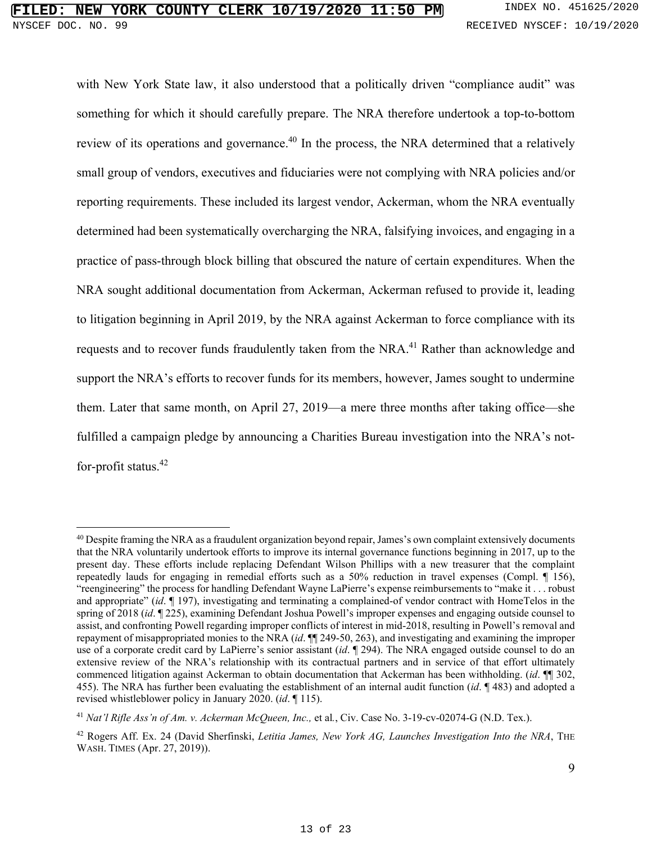with New York State law, it also understood that a politically driven "compliance audit" was something for which it should carefully prepare. The NRA therefore undertook a top-to-bottom review of its operations and governance.<sup>40</sup> In the process, the NRA determined that a relatively small group of vendors, executives and fiduciaries were not complying with NRA policies and/or reporting requirements. These included its largest vendor, Ackerman, whom the NRA eventually determined had been systematically overcharging the NRA, falsifying invoices, and engaging in a practice of pass-through block billing that obscured the nature of certain expenditures. When the NRA sought additional documentation from Ackerman, Ackerman refused to provide it, leading to litigation beginning in April 2019, by the NRA against Ackerman to force compliance with its requests and to recover funds fraudulently taken from the NRA.<sup>41</sup> Rather than acknowledge and support the NRA's efforts to recover funds for its members, however, James sought to undermine them. Later that same month, on April 27, 2019—a mere three months after taking office—she fulfilled a campaign pledge by announcing a Charities Bureau investigation into the NRA's notfor-profit status.<sup>42</sup>

<sup>&</sup>lt;sup>40</sup> Despite framing the NRA as a fraudulent organization beyond repair, James's own complaint extensively documents that the NRA voluntarily undertook efforts to improve its internal governance functions beginning in 2017, up to the present day. These efforts include replacing Defendant Wilson Phillips with a new treasurer that the complaint repeatedly lauds for engaging in remedial efforts such as a 50% reduction in travel expenses (Compl. ¶ 156), "reengineering" the process for handling Defendant Wayne LaPierre's expense reimbursements to "make it . . . robust and appropriate" (*id*. ¶ 197), investigating and terminating a complained-of vendor contract with HomeTelos in the spring of 2018 (*id*. ¶ 225), examining Defendant Joshua Powell's improper expenses and engaging outside counsel to assist, and confronting Powell regarding improper conflicts of interest in mid-2018, resulting in Powell's removal and repayment of misappropriated monies to the NRA (*id*. ¶¶ 249-50, 263), and investigating and examining the improper use of a corporate credit card by LaPierre's senior assistant (*id*. ¶ 294). The NRA engaged outside counsel to do an extensive review of the NRA's relationship with its contractual partners and in service of that effort ultimately commenced litigation against Ackerman to obtain documentation that Ackerman has been withholding. (*id*. ¶¶ 302, 455). The NRA has further been evaluating the establishment of an internal audit function (*id*. ¶ 483) and adopted a revised whistleblower policy in January 2020. (*id*. ¶ 115).

<sup>&</sup>lt;sup>41</sup> *Nat'l Rifle Ass'n of Am. v. Ackerman McQueen, Inc., et al., Civ. Case No. 3-19-cv-02074-G (N.D. Tex.).* 

<sup>42</sup> Rogers Aff. Ex. 24 (David Sherfinski, *Letitia James, New York AG, Launches Investigation Into the NRA*, THE WASH. TIMES (Apr. 27, 2019)).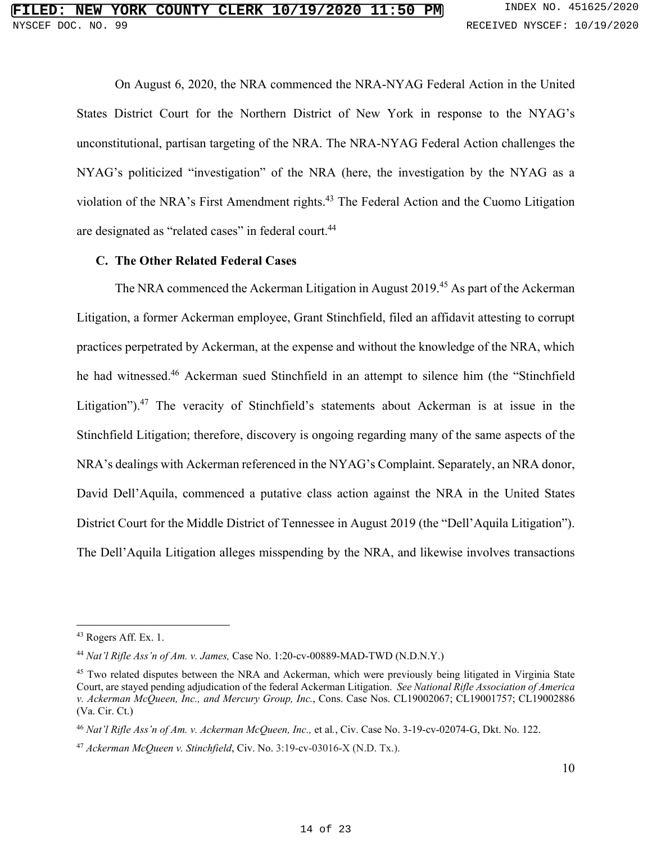On August 6, 2020, the NRA commenced the NRA-NYAG Federal Action in the United States District Court for the Northern District of New York in response to the NYAG's unconstitutional, partisan targeting of the NRA. The NRA-NYAG Federal Action challenges the NYAG's politicized "investigation" of the NRA (here, the investigation by the NYAG as a violation of the NRA's First Amendment rights.<sup>43</sup> The Federal Action and the Cuomo Litigation are designated as "related cases" in federal court.<sup>44</sup>

#### **C. The Other Related Federal Cases**

The NRA commenced the Ackerman Litigation in August 2019.<sup>45</sup> As part of the Ackerman Litigation, a former Ackerman employee, Grant Stinchfield, filed an affidavit attesting to corrupt practices perpetrated by Ackerman, at the expense and without the knowledge of the NRA, which he had witnessed.<sup>46</sup> Ackerman sued Stinchfield in an attempt to silence him (the "Stinchfield Litigation").<sup>47</sup> The veracity of Stinchfield's statements about Ackerman is at issue in the Stinchfield Litigation; therefore, discovery is ongoing regarding many of the same aspects of the NRA's dealings with Ackerman referenced in the NYAG's Complaint. Separately, an NRA donor, David Dell'Aquila, commenced a putative class action against the NRA in the United States District Court for the Middle District of Tennessee in August 2019 (the "Dell'Aquila Litigation"). The Dell'Aquila Litigation alleges misspending by the NRA, and likewise involves transactions

 $43$  Rogers Aff. Ex. 1.

<sup>44</sup> *Nat'l Rifle Ass'n of Am. v. James,* Case No. 1:20-cv-00889-MAD-TWD (N.D.N.Y.)

<sup>45</sup> Two related disputes between the NRA and Ackerman, which were previously being litigated in Virginia State Court, are stayed pending adjudication of the federal Ackerman Litigation. *See National Rifle Association of America v. Ackerman McQueen, Inc., and Mercury Group, Inc.*, Cons. Case Nos. CL19002067; CL19001757; CL19002886 (Va. Cir. Ct.)

<sup>46</sup> *Nat'l Rifle Ass'n of Am. v. Ackerman McQueen, Inc.,* et al*.*, Civ. Case No. 3-19-cv-02074-G, Dkt. No. 122.

<sup>47</sup> *Ackerman McQueen v. Stinchfield*, Civ. No. 3:19-cv-03016-X (N.D. Tx.).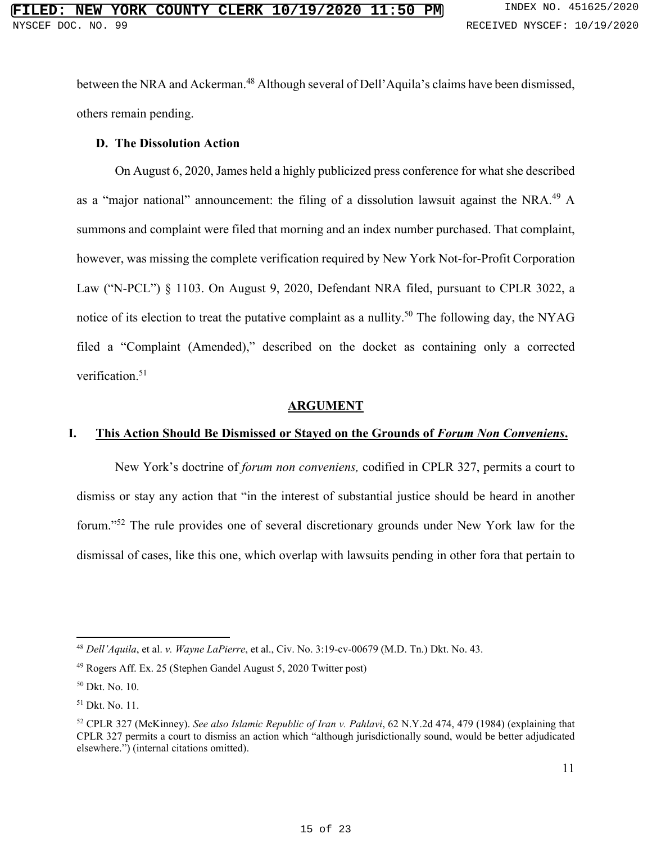between the NRA and Ackerman.<sup>48</sup> Although several of Dell'Aquila's claims have been dismissed, others remain pending.

## **D. The Dissolution Action**

On August 6, 2020, James held a highly publicized press conference for what she described as a "major national" announcement: the filing of a dissolution lawsuit against the NRA.<sup>49</sup> A summons and complaint were filed that morning and an index number purchased. That complaint, however, was missing the complete verification required by New York Not-for-Profit Corporation Law ("N-PCL") § 1103. On August 9, 2020, Defendant NRA filed, pursuant to CPLR 3022, a notice of its election to treat the putative complaint as a nullity.<sup>50</sup> The following day, the NYAG filed a "Complaint (Amended)," described on the docket as containing only a corrected verification.<sup>51</sup>

#### **ARGUMENT**

#### **I. This Action Should Be Dismissed or Stayed on the Grounds of** *Forum Non Conveniens***.**

New York's doctrine of *forum non conveniens,* codified in CPLR 327, permits a court to dismiss or stay any action that "in the interest of substantial justice should be heard in another forum."<sup>52</sup> The rule provides one of several discretionary grounds under New York law for the dismissal of cases, like this one, which overlap with lawsuits pending in other fora that pertain to

<sup>48</sup> *Dell'Aquila*, et al. *v. Wayne LaPierre*, et al., Civ. No. 3:19-cv-00679 (M.D. Tn.) Dkt. No. 43.

<sup>49</sup> Rogers Aff. Ex. 25 (Stephen Gandel August 5, 2020 Twitter post)

<sup>50</sup> Dkt. No. 10.

<sup>51</sup> Dkt. No. 11.

<sup>52</sup> CPLR 327 (McKinney). *See also Islamic Republic of Iran v. Pahlavi*, 62 N.Y.2d 474, 479 (1984) (explaining that CPLR 327 permits a court to dismiss an action which "although jurisdictionally sound, would be better adjudicated elsewhere.") (internal citations omitted).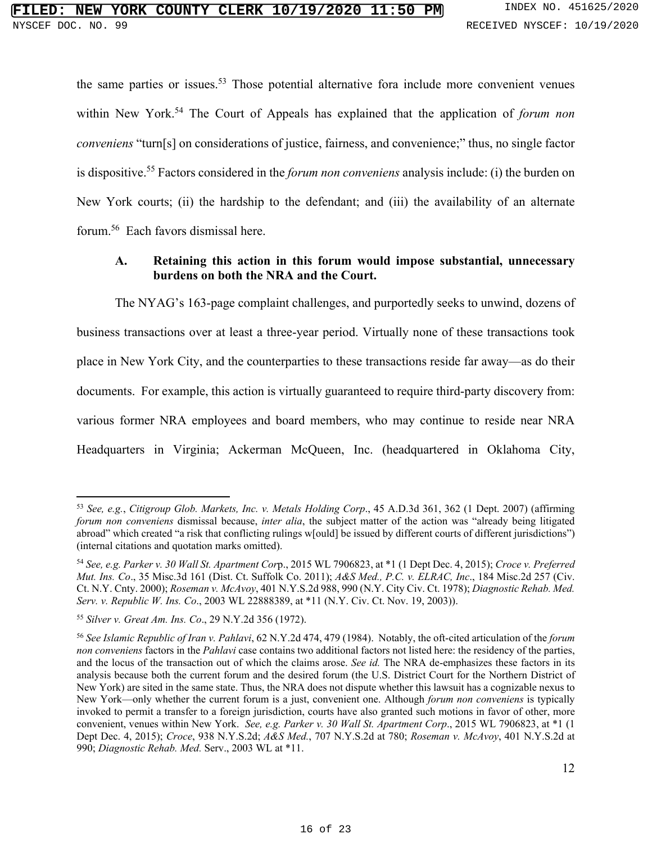the same parties or issues.<sup>53</sup> Those potential alternative fora include more convenient venues within New York.<sup>54</sup> The Court of Appeals has explained that the application of *forum non conveniens* "turn[s] on considerations of justice, fairness, and convenience;" thus, no single factor is dispositive.<sup>55</sup> Factors considered in the *forum non conveniens* analysis include: (i) the burden on New York courts; (ii) the hardship to the defendant; and (iii) the availability of an alternate forum.<sup>56</sup> Each favors dismissal here.

## **A. Retaining this action in this forum would impose substantial, unnecessary burdens on both the NRA and the Court.**

The NYAG's 163-page complaint challenges, and purportedly seeks to unwind, dozens of business transactions over at least a three-year period. Virtually none of these transactions took place in New York City, and the counterparties to these transactions reside far away—as do their documents. For example, this action is virtually guaranteed to require third-party discovery from: various former NRA employees and board members, who may continue to reside near NRA Headquarters in Virginia; Ackerman McQueen, Inc. (headquartered in Oklahoma City,

<sup>53</sup> *See, e.g.*, *Citigroup Glob. Markets, Inc. v. Metals Holding Corp*., 45 A.D.3d 361, 362 (1 Dept. 2007) (affirming *forum non conveniens* dismissal because, *inter alia*, the subject matter of the action was "already being litigated abroad" which created "a risk that conflicting rulings w[ould] be issued by different courts of different jurisdictions") (internal citations and quotation marks omitted).

<sup>54</sup> *See, e.g. Parker v. 30 Wall St. Apartment Cor*p., 2015 WL 7906823, at \*1 (1 Dept Dec. 4, 2015); *Croce v. Preferred Mut. Ins. Co*., 35 Misc.3d 161 (Dist. Ct. Suffolk Co. 2011); *A&S Med., P.C. v. ELRAC, Inc*., 184 Misc.2d 257 (Civ. Ct. N.Y. Cnty. 2000); *Roseman v. McAvoy*, 401 N.Y.S.2d 988, 990 (N.Y. City Civ. Ct. 1978); *Diagnostic Rehab. Med. Serv. v. Republic W. Ins. Co*., 2003 WL 22888389, at \*11 (N.Y. Civ. Ct. Nov. 19, 2003)).

<sup>55</sup> *Silver v. Great Am. Ins. Co*., 29 N.Y.2d 356 (1972).

<sup>56</sup> *See Islamic Republic of Iran v. Pahlavi*, 62 N.Y.2d 474, 479 (1984). Notably, the oft-cited articulation of the *forum non conveniens* factors in the *Pahlavi* case contains two additional factors not listed here: the residency of the parties, and the locus of the transaction out of which the claims arose. *See id.* The NRA de-emphasizes these factors in its analysis because both the current forum and the desired forum (the U.S. District Court for the Northern District of New York) are sited in the same state. Thus, the NRA does not dispute whether this lawsuit has a cognizable nexus to New York—only whether the current forum is a just, convenient one. Although *forum non conveniens* is typically invoked to permit a transfer to a foreign jurisdiction, courts have also granted such motions in favor of other, more convenient, venues within New York. *See, e.g. Parker v. 30 Wall St. Apartment Corp*., 2015 WL 7906823, at \*1 (1 Dept Dec. 4, 2015); *Croce*, 938 N.Y.S.2d; *A&S Med.*, 707 N.Y.S.2d at 780; *Roseman v. McAvoy*, 401 N.Y.S.2d at 990; *Diagnostic Rehab. Med.* Serv., 2003 WL at \*11.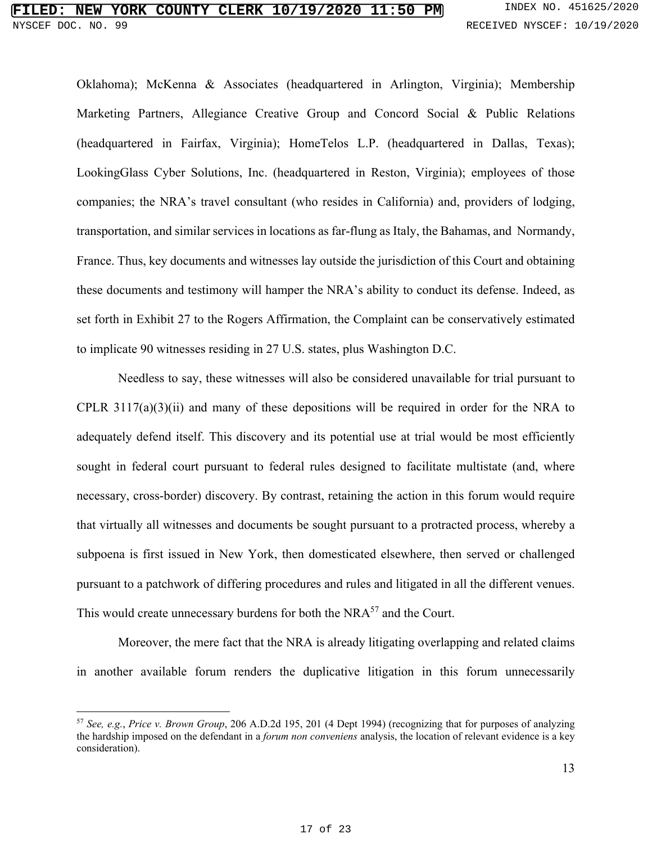## **NEW YORK COUNTY CLERK 10/19/2020 11:50 PM** INDEX NO. 451625/2020 NYSCEF DOC. NO. 99 **RECEIVED NYSCEF: 10/19/2020**

Oklahoma); McKenna & Associates (headquartered in Arlington, Virginia); Membership Marketing Partners, Allegiance Creative Group and Concord Social & Public Relations (headquartered in Fairfax, Virginia); HomeTelos L.P. (headquartered in Dallas, Texas); LookingGlass Cyber Solutions, Inc. (headquartered in Reston, Virginia); employees of those companies; the NRA's travel consultant (who resides in California) and, providers of lodging, transportation, and similar services in locations as far-flung as Italy, the Bahamas, and Normandy, France. Thus, key documents and witnesses lay outside the jurisdiction of this Court and obtaining these documents and testimony will hamper the NRA's ability to conduct its defense. Indeed, as set forth in Exhibit 27 to the Rogers Affirmation, the Complaint can be conservatively estimated to implicate 90 witnesses residing in 27 U.S. states, plus Washington D.C.

 Needless to say, these witnesses will also be considered unavailable for trial pursuant to CPLR  $3117(a)(3)(ii)$  and many of these depositions will be required in order for the NRA to adequately defend itself. This discovery and its potential use at trial would be most efficiently sought in federal court pursuant to federal rules designed to facilitate multistate (and, where necessary, cross-border) discovery. By contrast, retaining the action in this forum would require that virtually all witnesses and documents be sought pursuant to a protracted process, whereby a subpoena is first issued in New York, then domesticated elsewhere, then served or challenged pursuant to a patchwork of differing procedures and rules and litigated in all the different venues. This would create unnecessary burdens for both the NRA<sup>57</sup> and the Court.

 Moreover, the mere fact that the NRA is already litigating overlapping and related claims in another available forum renders the duplicative litigation in this forum unnecessarily

<sup>57</sup> *See, e.g.*, *Price v. Brown Group*, 206 A.D.2d 195, 201 (4 Dept 1994) (recognizing that for purposes of analyzing the hardship imposed on the defendant in a *forum non conveniens* analysis, the location of relevant evidence is a key consideration).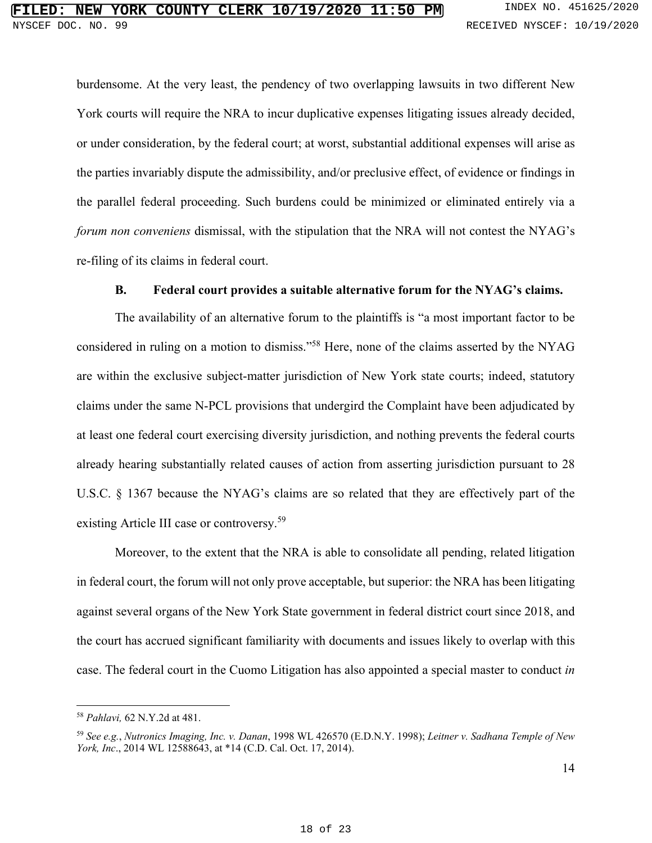burdensome. At the very least, the pendency of two overlapping lawsuits in two different New York courts will require the NRA to incur duplicative expenses litigating issues already decided, or under consideration, by the federal court; at worst, substantial additional expenses will arise as the parties invariably dispute the admissibility, and/or preclusive effect, of evidence or findings in the parallel federal proceeding. Such burdens could be minimized or eliminated entirely via a *forum non conveniens* dismissal, with the stipulation that the NRA will not contest the NYAG's re-filing of its claims in federal court.

## **B. Federal court provides a suitable alternative forum for the NYAG's claims.**

The availability of an alternative forum to the plaintiffs is "a most important factor to be considered in ruling on a motion to dismiss."<sup>58</sup> Here, none of the claims asserted by the NYAG are within the exclusive subject-matter jurisdiction of New York state courts; indeed, statutory claims under the same N-PCL provisions that undergird the Complaint have been adjudicated by at least one federal court exercising diversity jurisdiction, and nothing prevents the federal courts already hearing substantially related causes of action from asserting jurisdiction pursuant to 28 U.S.C. § 1367 because the NYAG's claims are so related that they are effectively part of the existing Article III case or controversy.<sup>59</sup>

Moreover, to the extent that the NRA is able to consolidate all pending, related litigation in federal court, the forum will not only prove acceptable, but superior: the NRA has been litigating against several organs of the New York State government in federal district court since 2018, and the court has accrued significant familiarity with documents and issues likely to overlap with this case. The federal court in the Cuomo Litigation has also appointed a special master to conduct *in* 

<sup>58</sup> *Pahlavi,* 62 N.Y.2d at 481.

<sup>59</sup> *See e.g.*, *Nutronics Imaging, Inc. v. Danan*, 1998 WL 426570 (E.D.N.Y. 1998); *Leitner v. Sadhana Temple of New York, Inc*., 2014 WL 12588643, at \*14 (C.D. Cal. Oct. 17, 2014).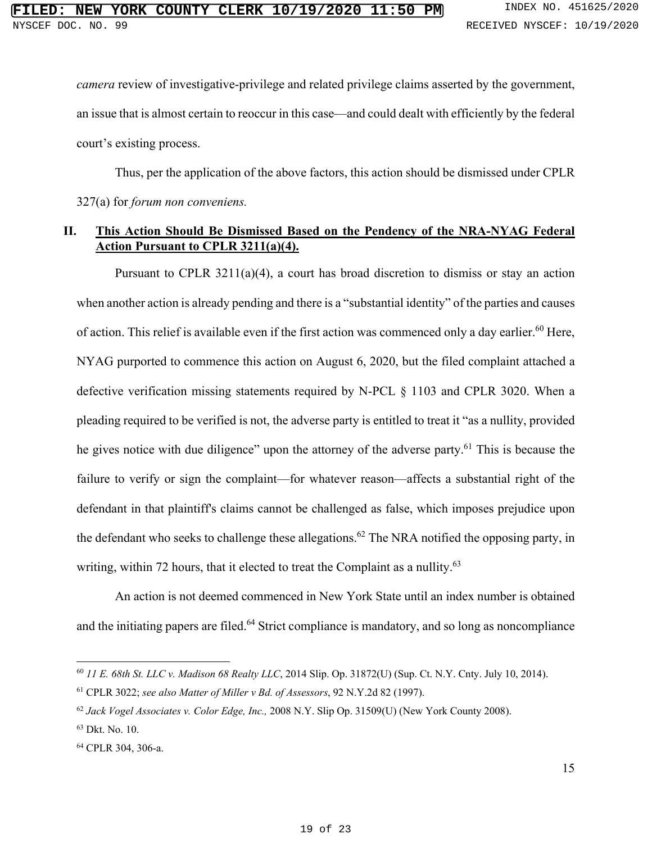*camera* review of investigative-privilege and related privilege claims asserted by the government, an issue that is almost certain to reoccur in this case—and could dealt with efficiently by the federal court's existing process.

Thus, per the application of the above factors, this action should be dismissed under CPLR 327(a) for *forum non conveniens.*

## **II. This Action Should Be Dismissed Based on the Pendency of the NRA-NYAG Federal Action Pursuant to CPLR 3211(a)(4).**

Pursuant to CPLR 3211(a)(4), a court has broad discretion to dismiss or stay an action when another action is already pending and there is a "substantial identity" of the parties and causes of action. This relief is available even if the first action was commenced only a day earlier.<sup>60</sup> Here, NYAG purported to commence this action on August 6, 2020, but the filed complaint attached a defective verification missing statements required by N-PCL § 1103 and CPLR 3020. When a pleading required to be verified is not, the adverse party is entitled to treat it "as a nullity, provided he gives notice with due diligence" upon the attorney of the adverse party.<sup>61</sup> This is because the failure to verify or sign the complaint—for whatever reason—affects a substantial right of the defendant in that plaintiff's claims cannot be challenged as false, which imposes prejudice upon the defendant who seeks to challenge these allegations.<sup>62</sup> The NRA notified the opposing party, in writing, within 72 hours, that it elected to treat the Complaint as a nullity.<sup>63</sup>

An action is not deemed commenced in New York State until an index number is obtained and the initiating papers are filed.<sup>64</sup> Strict compliance is mandatory, and so long as noncompliance

<sup>60</sup> *11 E. 68th St. LLC v. Madison 68 Realty LLC*, 2014 Slip. Op. 31872(U) (Sup. Ct. N.Y. Cnty. July 10, 2014).

<sup>61</sup> CPLR 3022; *see also Matter of Miller v Bd. of Assessors*, 92 N.Y.2d 82 (1997).

<sup>62</sup> *Jack Vogel Associates v. Color Edge, Inc.,* 2008 N.Y. Slip Op. 31509(U) (New York County 2008).

<sup>63</sup> Dkt. No. 10.

<sup>64</sup> CPLR 304, 306-a.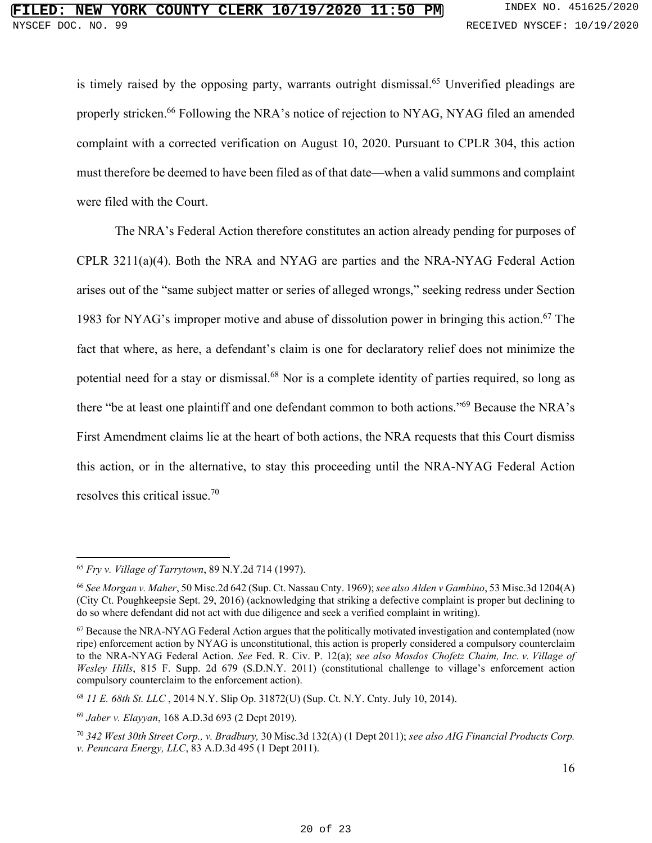is timely raised by the opposing party, warrants outright dismissal.<sup>65</sup> Unverified pleadings are properly stricken.<sup>66</sup> Following the NRA's notice of rejection to NYAG, NYAG filed an amended complaint with a corrected verification on August 10, 2020. Pursuant to CPLR 304, this action must therefore be deemed to have been filed as of that date—when a valid summons and complaint were filed with the Court.

The NRA's Federal Action therefore constitutes an action already pending for purposes of CPLR 3211(a)(4). Both the NRA and NYAG are parties and the NRA-NYAG Federal Action arises out of the "same subject matter or series of alleged wrongs," seeking redress under Section 1983 for NYAG's improper motive and abuse of dissolution power in bringing this action.<sup>67</sup> The fact that where, as here, a defendant's claim is one for declaratory relief does not minimize the potential need for a stay or dismissal.<sup>68</sup> Nor is a complete identity of parties required, so long as there "be at least one plaintiff and one defendant common to both actions."<sup>69</sup> Because the NRA's First Amendment claims lie at the heart of both actions, the NRA requests that this Court dismiss this action, or in the alternative, to stay this proceeding until the NRA-NYAG Federal Action resolves this critical issue.<sup>70</sup>

<sup>65</sup> *Fry v. Village of Tarrytown*, 89 N.Y.2d 714 (1997).

<sup>66</sup> *See Morgan v. Maher*, 50 Misc.2d 642 (Sup. Ct. Nassau Cnty. 1969); *see also Alden v Gambino*, 53 Misc.3d 1204(A) (City Ct. Poughkeepsie Sept. 29, 2016) (acknowledging that striking a defective complaint is proper but declining to do so where defendant did not act with due diligence and seek a verified complaint in writing).

<sup>67</sup> Because the NRA-NYAG Federal Action argues that the politically motivated investigation and contemplated (now ripe) enforcement action by NYAG is unconstitutional, this action is properly considered a compulsory counterclaim to the NRA-NYAG Federal Action. *See* Fed. R. Civ. P. 12(a); *see also Mosdos Chofetz Chaim, Inc. v. Village of Wesley Hills*, 815 F. Supp. 2d 679 (S.D.N.Y. 2011) (constitutional challenge to village's enforcement action compulsory counterclaim to the enforcement action).

<sup>68</sup> *11 E. 68th St. LLC* , 2014 N.Y. Slip Op. 31872(U) (Sup. Ct. N.Y. Cnty. July 10, 2014).

<sup>69</sup> *Jaber v. Elayyan*, 168 A.D.3d 693 (2 Dept 2019).

<sup>70</sup> *342 West 30th Street Corp., v. Bradbury,* 30 Misc.3d 132(A) (1 Dept 2011); *see also AIG Financial Products Corp. v. Penncara Energy, LLC*, 83 A.D.3d 495 (1 Dept 2011).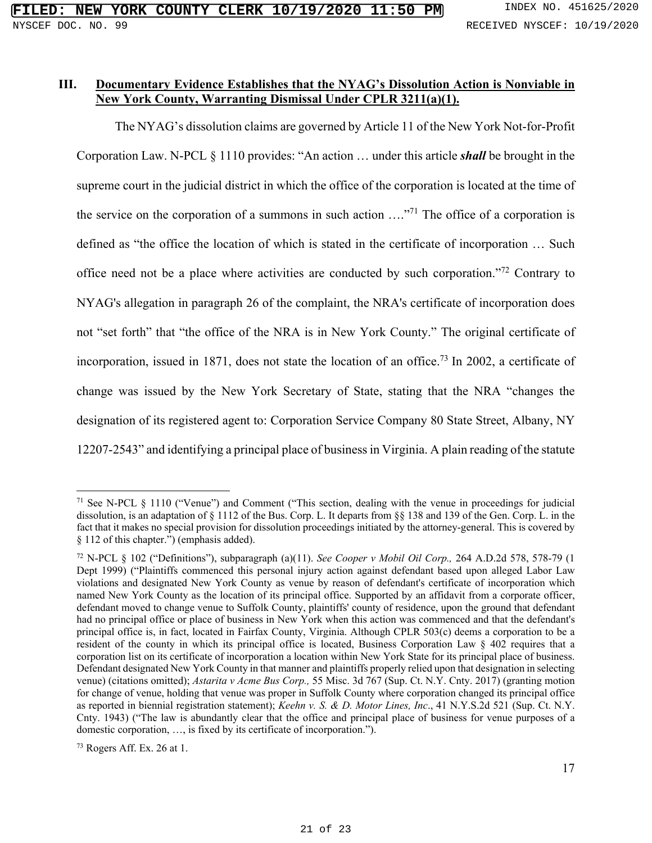## **III. Documentary Evidence Establishes that the NYAG's Dissolution Action is Nonviable in New York County, Warranting Dismissal Under CPLR 3211(a)(1).**

The NYAG's dissolution claims are governed by Article 11 of the New York Not-for-Profit Corporation Law. N-PCL § 1110 provides: "An action … under this article *shall* be brought in the supreme court in the judicial district in which the office of the corporation is located at the time of the service on the corporation of a summons in such action  $\ldots$ <sup>71</sup>. The office of a corporation is defined as "the office the location of which is stated in the certificate of incorporation … Such office need not be a place where activities are conducted by such corporation."<sup>72</sup> Contrary to NYAG's allegation in paragraph 26 of the complaint, the NRA's certificate of incorporation does not "set forth" that "the office of the NRA is in New York County." The original certificate of incorporation, issued in 1871, does not state the location of an office.<sup>73</sup> In 2002, a certificate of change was issued by the New York Secretary of State, stating that the NRA "changes the designation of its registered agent to: Corporation Service Company 80 State Street, Albany, NY 12207-2543" and identifying a principal place of business in Virginia. A plain reading of the statute

<sup>71</sup> See N-PCL § 1110 ("Venue") and Comment ("This section, dealing with the venue in proceedings for judicial dissolution, is an adaptation of § 1112 of the Bus. Corp. L. It departs from §§ 138 and 139 of the Gen. Corp. L. in the fact that it makes no special provision for dissolution proceedings initiated by the attorney-general. This is covered by § 112 of this chapter.") (emphasis added).

<sup>72</sup> N-PCL § 102 ("Definitions"), subparagraph (a)(11). *See Cooper v Mobil Oil Corp.,* 264 A.D.2d 578, 578-79 (1 Dept 1999) ("Plaintiffs commenced this personal injury action against defendant based upon alleged Labor Law violations and designated New York County as venue by reason of defendant's certificate of incorporation which named New York County as the location of its principal office. Supported by an affidavit from a corporate officer, defendant moved to change venue to Suffolk County, plaintiffs' county of residence, upon the ground that defendant had no principal office or place of business in New York when this action was commenced and that the defendant's principal office is, in fact, located in Fairfax County, Virginia. Although CPLR 503(c) deems a corporation to be a resident of the county in which its principal office is located, Business Corporation Law § 402 requires that a corporation list on its certificate of incorporation a location within New York State for its principal place of business. Defendant designated New York County in that manner and plaintiffs properly relied upon that designation in selecting venue) (citations omitted); *Astarita v Acme Bus Corp.,* 55 Misc. 3d 767 (Sup. Ct. N.Y. Cnty. 2017) (granting motion for change of venue, holding that venue was proper in Suffolk County where corporation changed its principal office as reported in biennial registration statement); *Keehn v. S. & D. Motor Lines, Inc*., 41 N.Y.S.2d 521 (Sup. Ct. N.Y. Cnty. 1943) ("The law is abundantly clear that the office and principal place of business for venue purposes of a domestic corporation, …, is fixed by its certificate of incorporation.").

<sup>73</sup> Rogers Aff. Ex. 26 at 1.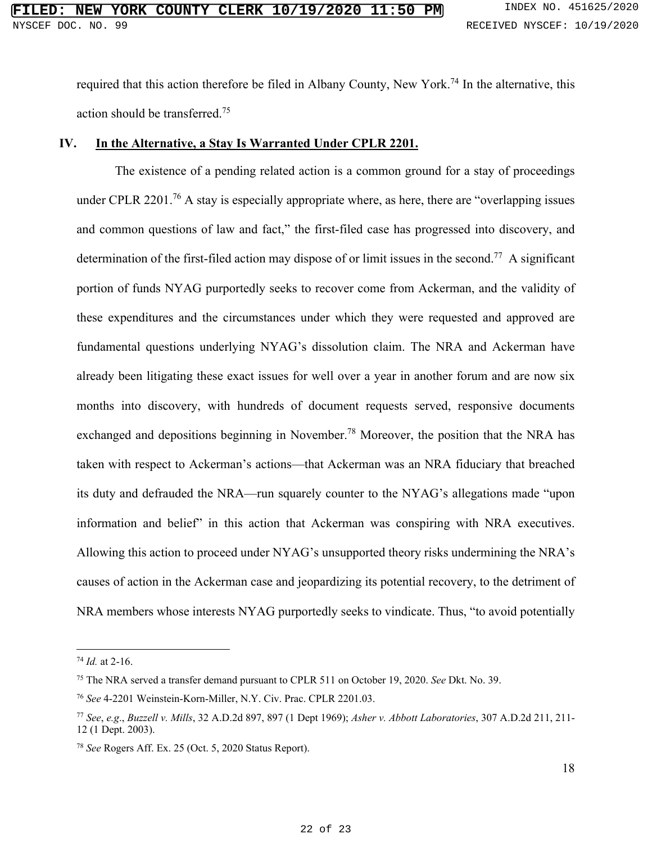required that this action therefore be filed in Albany County, New York.<sup>74</sup> In the alternative, this action should be transferred.<sup>75</sup>

## **IV. In the Alternative, a Stay Is Warranted Under CPLR 2201.**

The existence of a pending related action is a common ground for a stay of proceedings under CPLR 2201.<sup>76</sup> A stay is especially appropriate where, as here, there are "overlapping issues" and common questions of law and fact," the first-filed case has progressed into discovery, and determination of the first-filed action may dispose of or limit issues in the second.<sup>77</sup> A significant portion of funds NYAG purportedly seeks to recover come from Ackerman, and the validity of these expenditures and the circumstances under which they were requested and approved are fundamental questions underlying NYAG's dissolution claim. The NRA and Ackerman have already been litigating these exact issues for well over a year in another forum and are now six months into discovery, with hundreds of document requests served, responsive documents exchanged and depositions beginning in November.<sup>78</sup> Moreover, the position that the NRA has taken with respect to Ackerman's actions—that Ackerman was an NRA fiduciary that breached its duty and defrauded the NRA—run squarely counter to the NYAG's allegations made "upon information and belief" in this action that Ackerman was conspiring with NRA executives. Allowing this action to proceed under NYAG's unsupported theory risks undermining the NRA's causes of action in the Ackerman case and jeopardizing its potential recovery, to the detriment of NRA members whose interests NYAG purportedly seeks to vindicate. Thus, "to avoid potentially

<sup>74</sup> *Id.* at 2-16.

<sup>75</sup> The NRA served a transfer demand pursuant to CPLR 511 on October 19, 2020. *See* Dkt. No. 39.

<sup>76</sup> *See* 4-2201 Weinstein-Korn-Miller, N.Y. Civ. Prac. CPLR 2201.03.

<sup>77</sup> *See*, *e.g*., *Buzzell v. Mills*, 32 A.D.2d 897, 897 (1 Dept 1969); *Asher v. Abbott Laboratories*, 307 A.D.2d 211, 211- 12 (1 Dept. 2003).

<sup>78</sup> *See* Rogers Aff. Ex. 25 (Oct. 5, 2020 Status Report).